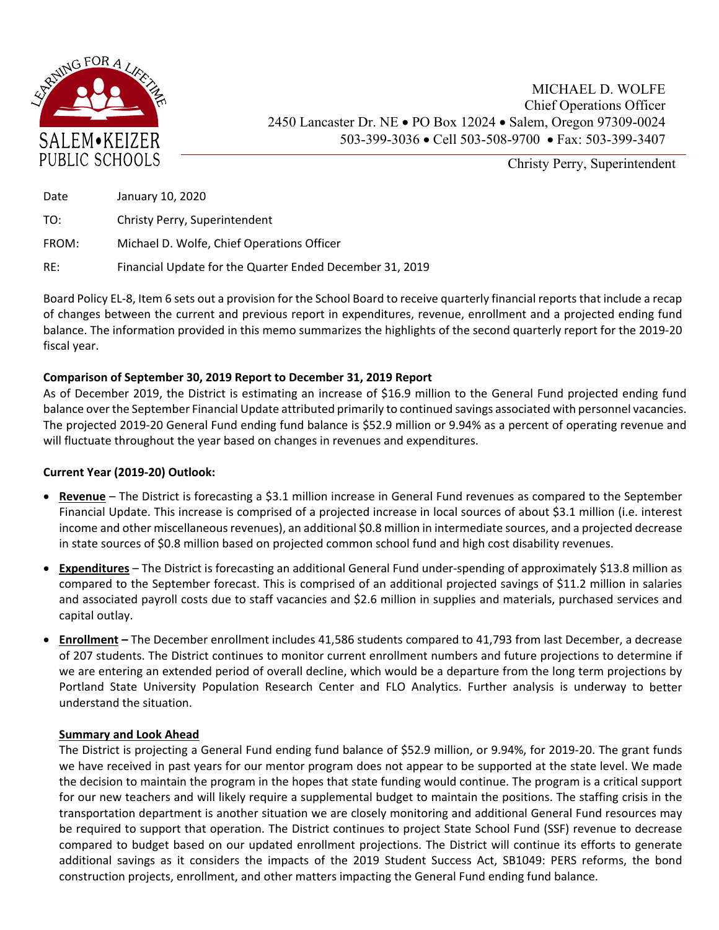

Christy Perry, Superintendent

| Date  | January 10, 2020                                         |
|-------|----------------------------------------------------------|
| TO:   | Christy Perry, Superintendent                            |
| FROM: | Michael D. Wolfe, Chief Operations Officer               |
| RE:   | Financial Update for the Quarter Ended December 31, 2019 |

Board Policy EL‐8, Item 6 sets out a provision for the School Board to receive quarterly financial reports that include a recap of changes between the current and previous report in expenditures, revenue, enrollment and a projected ending fund balance. The information provided in this memo summarizes the highlights of the second quarterly report for the 2019‐20 fiscal year.

## **Comparison of September 30, 2019 Report to December 31, 2019 Report**

As of December 2019, the District is estimating an increase of \$16.9 million to the General Fund projected ending fund balance over the September Financial Update attributed primarily to continued savings associated with personnel vacancies. The projected 2019‐20 General Fund ending fund balance is \$52.9 million or 9.94% as a percent of operating revenue and will fluctuate throughout the year based on changes in revenues and expenditures.

## **Current Year (2019‐20) Outlook:**

- **Revenue** The District is forecasting a \$3.1 million increase in General Fund revenues as compared to the September Financial Update. This increase is comprised of a projected increase in local sources of about \$3.1 million (i.e. interest income and other miscellaneous revenues), an additional \$0.8 million in intermediate sources, and a projected decrease in state sources of \$0.8 million based on projected common school fund and high cost disability revenues.
- **Expenditures** The District is forecasting an additional General Fund under-spending of approximately \$13.8 million as compared to the September forecast. This is comprised of an additional projected savings of \$11.2 million in salaries and associated payroll costs due to staff vacancies and \$2.6 million in supplies and materials, purchased services and capital outlay.
- **Enrollment –** The December enrollment includes 41,586 students compared to 41,793 from last December, a decrease of 207 students. The District continues to monitor current enrollment numbers and future projections to determine if we are entering an extended period of overall decline, which would be a departure from the long term projections by Portland State University Population Research Center and FLO Analytics. Further analysis is underway to better understand the situation.

## **Summary and Look Ahead**

The District is projecting a General Fund ending fund balance of \$52.9 million, or 9.94%, for 2019‐20. The grant funds we have received in past years for our mentor program does not appear to be supported at the state level. We made the decision to maintain the program in the hopes that state funding would continue. The program is a critical support for our new teachers and will likely require a supplemental budget to maintain the positions. The staffing crisis in the transportation department is another situation we are closely monitoring and additional General Fund resources may be required to support that operation. The District continues to project State School Fund (SSF) revenue to decrease compared to budget based on our updated enrollment projections. The District will continue its efforts to generate additional savings as it considers the impacts of the 2019 Student Success Act, SB1049: PERS reforms, the bond construction projects, enrollment, and other matters impacting the General Fund ending fund balance.